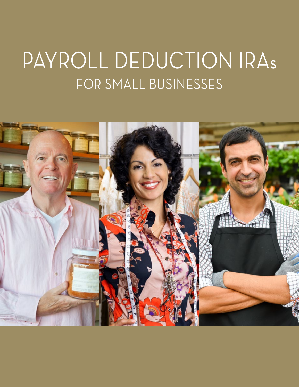# PAYROLL DEDUCTION IRAs FOR SMALL BUSINESSES

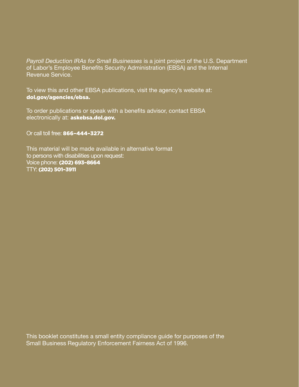*Payroll Deduction IRAs for Small Businesses* is a joint project of the U.S. Department of Labor's Employee Benefits Security Administration (EBSA) and the Internal Revenue Service.

To view this and other EBSA publications, visit the agency's website at: [dol.gov/agencies/ebsa](http://dol.gov/agencies/ebsa).

To order publications or speak with a benefits advisor, contact EBSA electronically at: [askebsa.dol.gov](https://www.dol.gov/agencies/ebsa/about-ebsa/ask-a-question/ask-ebsa).

Or call toll free: 866–444–3272

This material will be made available in alternative format to persons with disabilities upon request: Voice phone: (202) 693–8664 TTY: (202) 501–3911

This booklet constitutes a small entity compliance guide for purposes of the Small Business Regulatory Enforcement Fairness Act of 1996.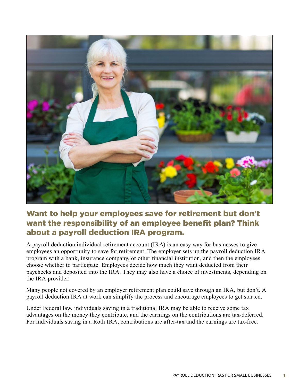

# Want to help your employees save for retirement but don't want the responsibility of an employee benefit plan? Think about a payroll deduction IRA program.

A payroll deduction individual retirement account (IRA) is an easy way for businesses to give employees an opportunity to save for retirement. The employer sets up the payroll deduction IRA program with a bank, insurance company, or other financial institution, and then the employees choose whether to participate. Employees decide how much they want deducted from their paychecks and deposited into the IRA. They may also have a choice of investments, depending on the IRA provider.

Many people not covered by an employer retirement plan could save through an IRA, but don't. A payroll deduction IRA at work can simplify the process and encourage employees to get started.

Under Federal law, individuals saving in a traditional IRA may be able to receive some tax advantages on the money they contribute, and the earnings on the contributions are tax-deferred. For individuals saving in a Roth IRA, contributions are after-tax and the earnings are tax-free.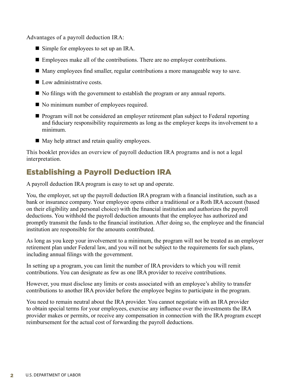Advantages of a payroll deduction IRA:

- Simple for employees to set up an IRA.
- $\blacksquare$  Employees make all of the contributions. There are no employer contributions.
- $\blacksquare$  Many employees find smaller, regular contributions a more manageable way to save.
- $\blacksquare$  Low administrative costs.
- $\blacksquare$  No filings with the government to establish the program or any annual reports.
- No minimum number of employees required.
- Program will not be considered an employer retirement plan subject to Federal reporting and fiduciary responsibility requirements as long as the employer keeps its involvement to a minimum.
- $\blacksquare$  May help attract and retain quality employees.

This booklet provides an overview of payroll deduction IRA programs and is not a legal interpretation.

# Establishing a Payroll Deduction IRA

A payroll deduction IRA program is easy to set up and operate.

You, the employer, set up the payroll deduction IRA program with a financial institution, such as a bank or insurance company. Your employee opens either a traditional or a Roth IRA account (based on their eligibility and personal choice) with the financial institution and authorizes the payroll deductions. You withhold the payroll deduction amounts that the employee has authorized and promptly transmit the funds to the financial institution. After doing so, the employee and the financial institution are responsible for the amounts contributed.

As long as you keep your involvement to a minimum, the program will not be treated as an employer retirement plan under Federal law, and you will not be subject to the requirements for such plans, including annual filings with the government.

In setting up a program, you can limit the number of IRA providers to which you will remit contributions. You can designate as few as one IRA provider to receive contributions.

However, you must disclose any limits or costs associated with an employee's ability to transfer contributions to another IRA provider before the employee begins to participate in the program.

You need to remain neutral about the IRA provider. You cannot negotiate with an IRA provider to obtain special terms for your employees, exercise any influence over the investments the IRA provider makes or permits, or receive any compensation in connection with the IRA program except reimbursement for the actual cost of forwarding the payroll deductions.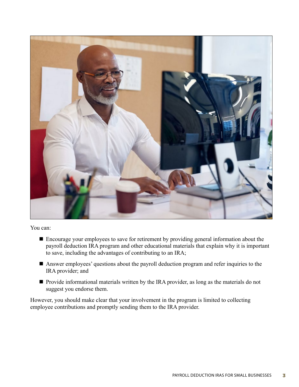

You can:

- Encourage your employees to save for retirement by providing general information about the payroll deduction IRA program and other educational materials that explain why it is important to save, including the advantages of contributing to an IRA;
- Answer employees' questions about the payroll deduction program and refer inquiries to the IRA provider; and
- Provide informational materials written by the IRA provider, as long as the materials do not suggest you endorse them.

However, you should make clear that your involvement in the program is limited to collecting employee contributions and promptly sending them to the IRA provider.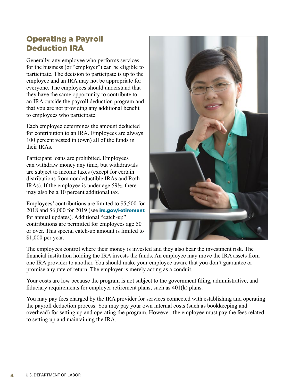## Operating a Payroll Deduction IRA

Generally, any employee who performs services for the business (or "employer") can be eligible to participate. The decision to participate is up to the employee and an IRA may not be appropriate for everyone. The employees should understand that they have the same opportunity to contribute to an IRA outside the payroll deduction program and that you are not providing any additional benefit to employees who participate.

Each employee determines the amount deducted for contribution to an IRA. Employees are always 100 percent vested in (own) all of the funds in their IRAs.

Participant loans are prohibited. Employees can withdraw money any time, but withdrawals are subject to income taxes (except for certain distributions from nondeductible IRAs and Roth IRAs). If the employee is under age 59½, there may also be a 10 percent additional tax.

Employees' contributions are limited to \$5,500 for 2018 and \$6,000 for 2019 (see [irs.gov/retirement](http://irs.gov/retirement) for annual updates). Additional "catch-up" contributions are permitted for employees age 50 or over. This special catch-up amount is limited to \$1,000 per year.



The employees control where their money is invested and they also bear the investment risk. The financial institution holding the IRA invests the funds. An employee may move the IRA assets from one IRA provider to another. You should make your employee aware that you don't guarantee or promise any rate of return. The employer is merely acting as a conduit.

Your costs are low because the program is not subject to the government filing, administrative, and fiduciary requirements for employer retirement plans, such as 401(k) plans.

You may pay fees charged by the IRA provider for services connected with establishing and operating the payroll deduction process. You may pay your own internal costs (such as bookkeeping and overhead) for setting up and operating the program. However, the employee must pay the fees related to setting up and maintaining the IRA.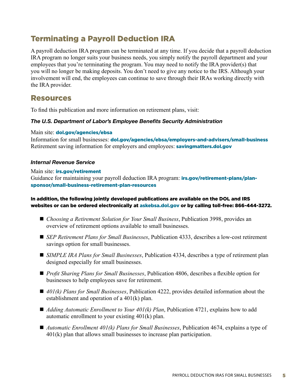## Terminating a Payroll Deduction IRA

A payroll deduction IRA program can be terminated at any time. If you decide that a payroll deduction IRA program no longer suits your business needs, you simply notify the payroll department and your employees that you're terminating the program. You may need to notify the IRA provider(s) that you will no longer be making deposits. You don't need to give any notice to the IRS. Although your involvement will end, the employees can continue to save through their IRAs working directly with the IRA provider.

## Resources

To find this publication and more information on retirement plans, visit:

#### *The U.S. Department of Labor's Employee Benefits Security Administration*

Main site: **[dol.gov/agencies/ebsa](http://dol.gov/agencies/ebsa)** 

Information for small businesses: [dol.gov/agencies/ebsa/employers-and-advisers/small-business](http://dol.gov/agencies/ebsa/employers-and-advisers/small-business) Retirement saving information for employers and employees: **[savingmatters.dol.gov](http://savingmatters.dol.gov)** 

#### *Internal Revenue Service*

Main site: *[irs.gov/retirement](http://irs.gov/retirement)* Guidance for maintaining your payroll deduction IRA program: **[irs.gov/retirement-plans/plan](http://irs.gov/retirement-plans/plan-sponsor/small-business-retirement-plan-resources)**sponsor/small-business-retirement-plan-resources

#### In addition, the following jointly developed publications are available on the DOL and IRS websites or can be ordered electronically at [askebsa.dol.gov](https://www.dol.gov/agencies/ebsa/about-ebsa/ask-a-question/ask-ebsa) or by calling toll-free: 866-444-3272.

- *Choosing a Retirement Solution for Your Small Business*, Publication 3998, provides an overview of retirement options available to small businesses.
- *SEP Retirement Plans for Small Businesses*, Publication 4333, describes a low-cost retirement savings option for small businesses.
- *SIMPLE IRA Plans for Small Businesses*, Publication 4334, describes a type of retirement plan designed especially for small businesses.
- *Profit Sharing Plans for Small Businesses*, Publication 4806, describes a flexible option for businesses to help employees save for retirement.
- 401(k) Plans for Small Businesses, Publication 4222, provides detailed information about the establishment and operation of a 401(k) plan.
- *Adding Automatic Enrollment to Your 401(k) Plan*, Publication 4721, explains how to add automatic enrollment to your existing 401(k) plan.
- *Automatic Enrollment 401(k) Plans for Small Businesses*, Publication 4674, explains a type of 401(k) plan that allows small businesses to increase plan participation.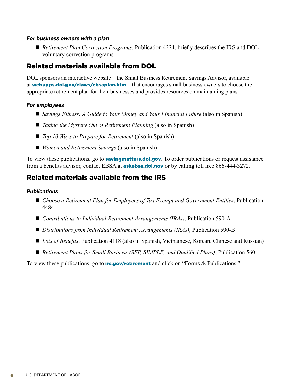#### *For business owners with a plan*

■ *Retirement Plan Correction Programs*, Publication 4224, briefly describes the IRS and DOL voluntary correction programs.

## Related materials available from DOL

DOL sponsors an interactive website – the Small Business Retirement Savings Advisor, available at [webapps.dol.gov/elaws/ebsaplan.htm](http://webapps.dol.gov/elaws/ebsaplan.htm)  $-$  that encourages small business owners to choose the appropriate retirement plan for their businesses and provides resources on maintaining plans.

#### *For employees*

- *Savings Fitness: A Guide to Your Money and Your Financial Future* (also in Spanish)
- *Taking the Mystery Out of Retirement Planning* (also in Spanish)
- *Top 10 Ways to Prepare for Retirement* (also in Spanish)
- *Women and Retirement Savings* (also in Spanish)

To view these publications, go to **[savingmatters.dol.gov](http://savingmatters.dol.gov)**. To order publications or request assistance from a benefits advisor, contact EBSA at **[askebsa.dol.gov](https://www.dol.gov/agencies/ebsa/about-ebsa/ask-a-question/ask-ebsa)** or by calling toll free 866-444-3272.

### Related materials available from the IRS

#### *Publications*

- *Choose a Retirement Plan for Employees of Tax Exempt and Government Entities*, Publication 4484
- *Contributions to Individual Retirement Arrangements (IRAs)*, Publication 590-A
- *Distributions from Individual Retirement Arrangements (IRAs)*, Publication 590-B
- *Lots of Benefits*, Publication 4118 (also in Spanish, Vietnamese, Korean, Chinese and Russian)
- *Retirement Plans for Small Business (SEP, SIMPLE, and Qualified Plans)*, Publication 560

To view these publications, go to **[irs.gov/retirement](http://irs.gov/retirement)** and click on "Forms & Publications."